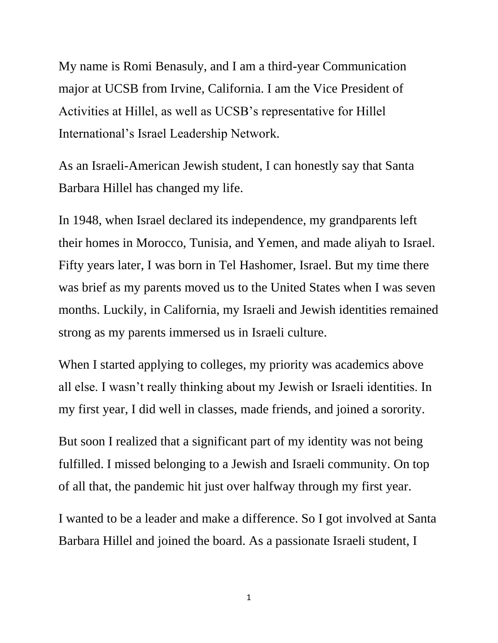My name is Romi Benasuly, and I am a third-year Communication major at UCSB from Irvine, California. I am the Vice President of Activities at Hillel, as well as UCSB's representative for Hillel International's Israel Leadership Network.

As an Israeli-American Jewish student, I can honestly say that Santa Barbara Hillel has changed my life.

In 1948, when Israel declared its independence, my grandparents left their homes in Morocco, Tunisia, and Yemen, and made aliyah to Israel. Fifty years later, I was born in Tel Hashomer, Israel. But my time there was brief as my parents moved us to the United States when I was seven months. Luckily, in California, my Israeli and Jewish identities remained strong as my parents immersed us in Israeli culture.

When I started applying to colleges, my priority was academics above all else. I wasn't really thinking about my Jewish or Israeli identities. In my first year, I did well in classes, made friends, and joined a sorority.

But soon I realized that a significant part of my identity was not being fulfilled. I missed belonging to a Jewish and Israeli community. On top of all that, the pandemic hit just over halfway through my first year.

I wanted to be a leader and make a difference. So I got involved at Santa Barbara Hillel and joined the board. As a passionate Israeli student, I

1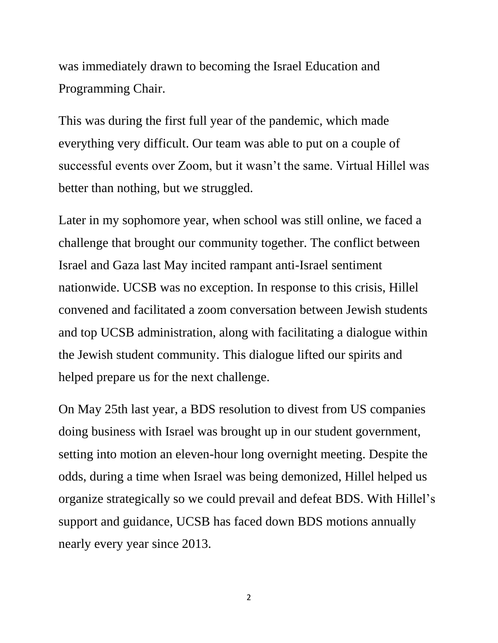was immediately drawn to becoming the Israel Education and Programming Chair.

This was during the first full year of the pandemic, which made everything very difficult. Our team was able to put on a couple of successful events over Zoom, but it wasn't the same. Virtual Hillel was better than nothing, but we struggled.

Later in my sophomore year, when school was still online, we faced a challenge that brought our community together. The conflict between Israel and Gaza last May incited rampant anti-Israel sentiment nationwide. UCSB was no exception. In response to this crisis, Hillel convened and facilitated a zoom conversation between Jewish students and top UCSB administration, along with facilitating a dialogue within the Jewish student community. This dialogue lifted our spirits and helped prepare us for the next challenge.

On May 25th last year, a BDS resolution to divest from US companies doing business with Israel was brought up in our student government, setting into motion an eleven-hour long overnight meeting. Despite the odds, during a time when Israel was being demonized, Hillel helped us organize strategically so we could prevail and defeat BDS. With Hillel's support and guidance, UCSB has faced down BDS motions annually nearly every year since 2013.

2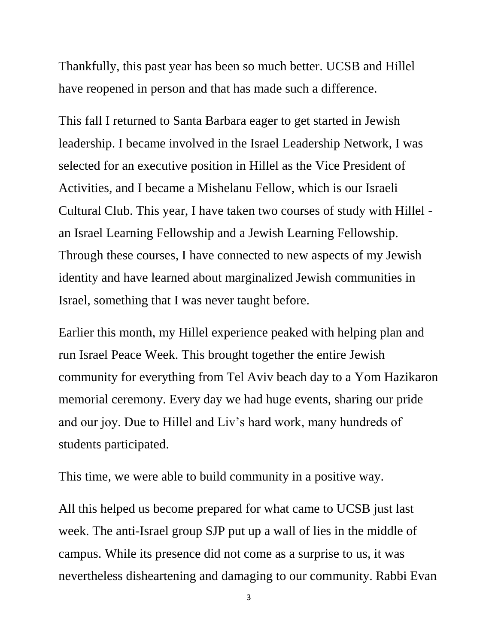Thankfully, this past year has been so much better. UCSB and Hillel have reopened in person and that has made such a difference.

This fall I returned to Santa Barbara eager to get started in Jewish leadership. I became involved in the Israel Leadership Network, I was selected for an executive position in Hillel as the Vice President of Activities, and I became a Mishelanu Fellow, which is our Israeli Cultural Club. This year, I have taken two courses of study with Hillel an Israel Learning Fellowship and a Jewish Learning Fellowship. Through these courses, I have connected to new aspects of my Jewish identity and have learned about marginalized Jewish communities in Israel, something that I was never taught before.

Earlier this month, my Hillel experience peaked with helping plan and run Israel Peace Week. This brought together the entire Jewish community for everything from Tel Aviv beach day to a Yom Hazikaron memorial ceremony. Every day we had huge events, sharing our pride and our joy. Due to Hillel and Liv's hard work, many hundreds of students participated.

This time, we were able to build community in a positive way.

All this helped us become prepared for what came to UCSB just last week. The anti-Israel group SJP put up a wall of lies in the middle of campus. While its presence did not come as a surprise to us, it was nevertheless disheartening and damaging to our community. Rabbi Evan

3